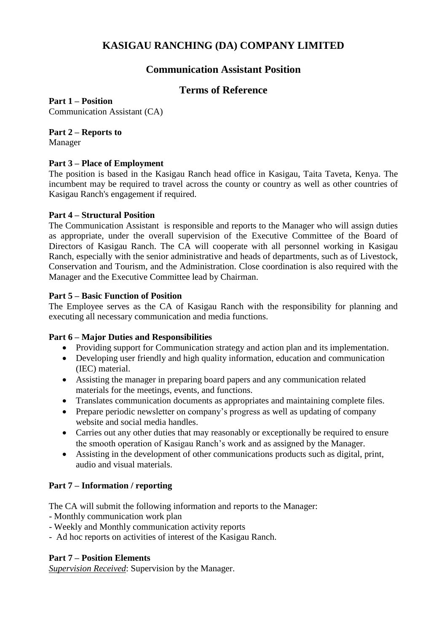# **KASIGAU RANCHING (DA) COMPANY LIMITED**

# **Communication Assistant Position**

# **Terms of Reference**

**Part 1 – Position** Communication Assistant (CA)

### **Part 2 – Reports to**

Manager

#### **Part 3 – Place of Employment**

The position is based in the Kasigau Ranch head office in Kasigau, Taita Taveta, Kenya. The incumbent may be required to travel across the county or country as well as other countries of Kasigau Ranch's engagement if required.

#### **Part 4 – Structural Position**

The Communication Assistant is responsible and reports to the Manager who will assign duties as appropriate, under the overall supervision of the Executive Committee of the Board of Directors of Kasigau Ranch. The CA will cooperate with all personnel working in Kasigau Ranch, especially with the senior administrative and heads of departments, such as of Livestock, Conservation and Tourism, and the Administration. Close coordination is also required with the Manager and the Executive Committee lead by Chairman.

#### **Part 5 – Basic Function of Position**

The Employee serves as the CA of Kasigau Ranch with the responsibility for planning and executing all necessary communication and media functions.

#### **Part 6 – Major Duties and Responsibilities**

- Providing support for Communication strategy and action plan and its implementation.
- Developing user friendly and high quality information, education and communication (IEC) material.
- Assisting the manager in preparing board papers and any communication related materials for the meetings, events, and functions.
- Translates communication documents as appropriates and maintaining complete files.
- Prepare periodic newsletter on company's progress as well as updating of company website and social media handles.
- Carries out any other duties that may reasonably or exceptionally be required to ensure the smooth operation of Kasigau Ranch's work and as assigned by the Manager.
- Assisting in the development of other communications products such as digital, print, audio and visual materials.

#### **Part 7 – Information / reporting**

The CA will submit the following information and reports to the Manager:

- Monthly communication work plan
- Weekly and Monthly communication activity reports
- Ad hoc reports on activities of interest of the Kasigau Ranch.

#### **Part 7 – Position Elements**

*Supervision Received*: Supervision by the Manager.